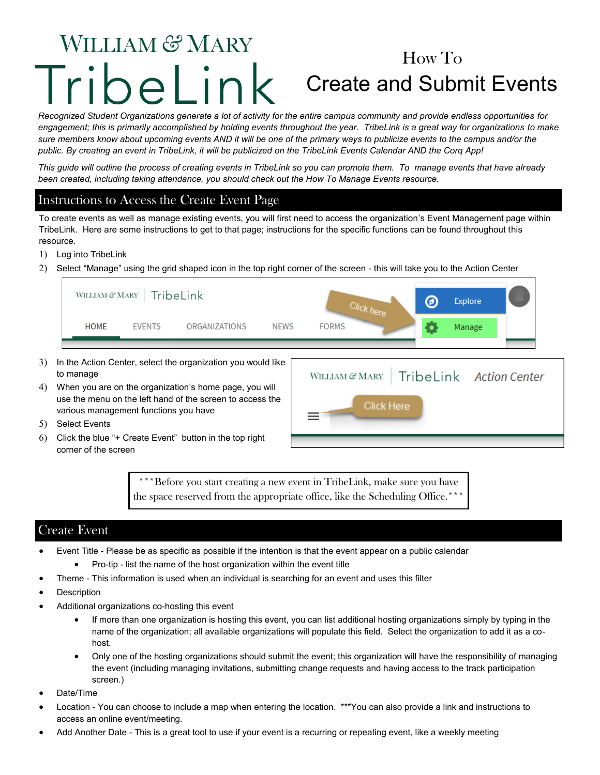# WILLIAM & MARY How To Tribel ink Create and Submit Events

*Recognized Student Organizations generate a lot of activity for the entire campus community and provide endless opportunities for engagement; this is primarily accomplished by holding events throughout the year. TribeLink is a great way for organizations to make sure members know about upcoming events AND it will be one of the primary ways to publicize events to the campus and/or the public. By creating an event in TribeLink, it will be publicized on the TribeLink Events Calendar AND the Corq App!*

*This guide will outline the process of creating events in TribeLink so you can promote them. To manage events that have already been created, including taking attendance, you should check out the How To Manage Events resource.* 

### Instructions to Access the Create Event Page

To create events as well as manage existing events, you will first need to access the organization's Event Management page within TribeLink. Here are some instructions to get to that page; instructions for the specific functions can be found throughout this resource.

- 1) Log into TribeLink
- 2) Select "Manage" using the grid shaped icon in the top right corner of the screen this will take you to the Action Center

| WILLIAM & MARY   TribeLink |               |               |      |              | <b>Explore</b> |  |
|----------------------------|---------------|---------------|------|--------------|----------------|--|
| <b>HOME</b>                | <b>EVENTS</b> | ORGANIZATIONS | NEWS | <b>FORMS</b> | Manage         |  |
|                            |               |               |      |              |                |  |

- 3) In the Action Center, select the organization you would like to manage
- When you are on the organization's home page, you will use the menu on the left hand of the screen to access the various management functions you have



- 5) Select Events
- Click the blue "+ Create Event" button in the top right corner of the screen

\*\*\*Before you start creating a new event in TribeLink, make sure you have the space reserved from the appropriate office, like the Scheduling Office.<sup>\*</sup>

### Create Event

- Event Title Please be as specific as possible if the intention is that the event appear on a public calendar
	- Pro-tip list the name of the host organization within the event title
	- Theme This information is used when an individual is searching for an event and uses this filter
- **Description**
- Additional organizations co-hosting this event
	- If more than one organization is hosting this event, you can list additional hosting organizations simply by typing in the name of the organization; all available organizations will populate this field. Select the organization to add it as a cohost.
	- Only one of the hosting organizations should submit the event; this organization will have the responsibility of managing the event (including managing invitations, submitting change requests and having access to the track participation screen.)
- Date/Time
- Location You can choose to include a map when entering the location. \*\*\*You can also provide a link and instructions to access an online event/meeting.
- Add Another Date This is a great tool to use if your event is a recurring or repeating event, like a weekly meeting